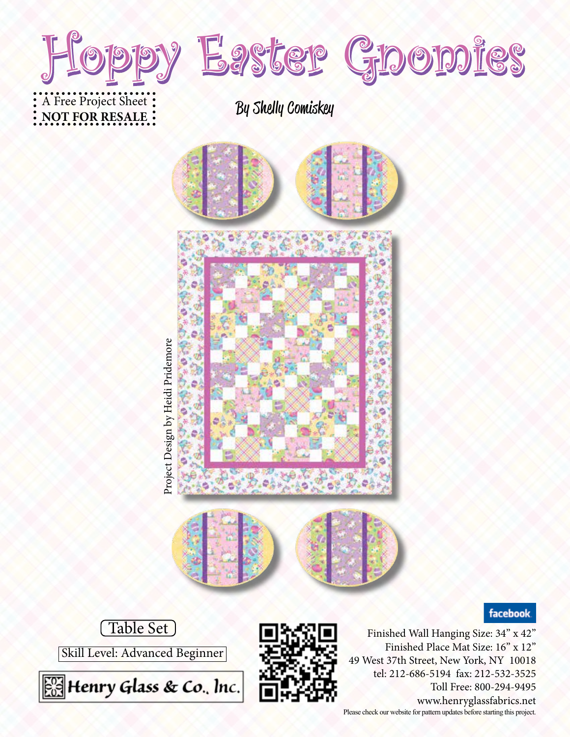

A Free Project Sheet: A rree Project Sheet: By Shelly Comiskey



**facebook** 







Finished Wall Hanging Size: 34" x 42" Finished Place Mat Size: 16" x 12" 49 West 37th Street, New York, NY 10018 tel: 212-686-5194 fax: 212-532-3525 Toll Free: 800-294-9495 www.henryglassfabrics.net Please check our website for pattern updates before starting this project.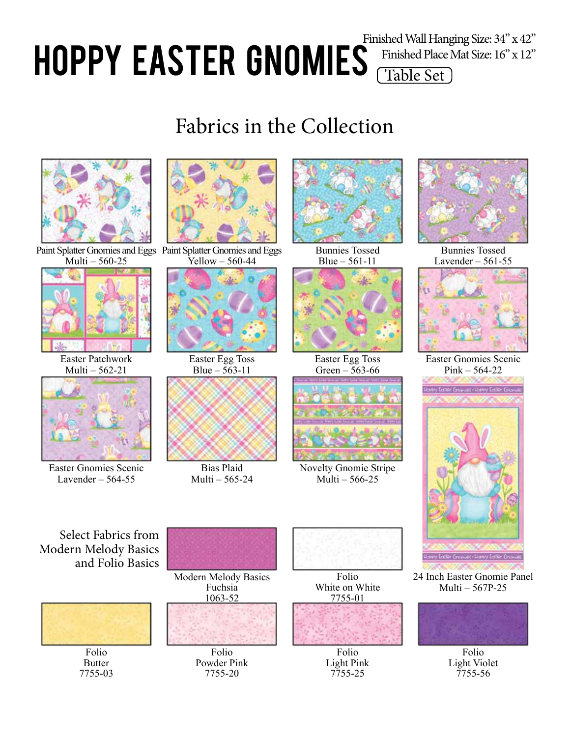# HOPPY EASTER GNOMIES  $\frac{\text{Fimished Place}}{\text{Table Set}}$

Finished Wall Hanging Size: 34" x 42" Finished Place Mat Size: 16" x 12"

### Fabrics in the Collection

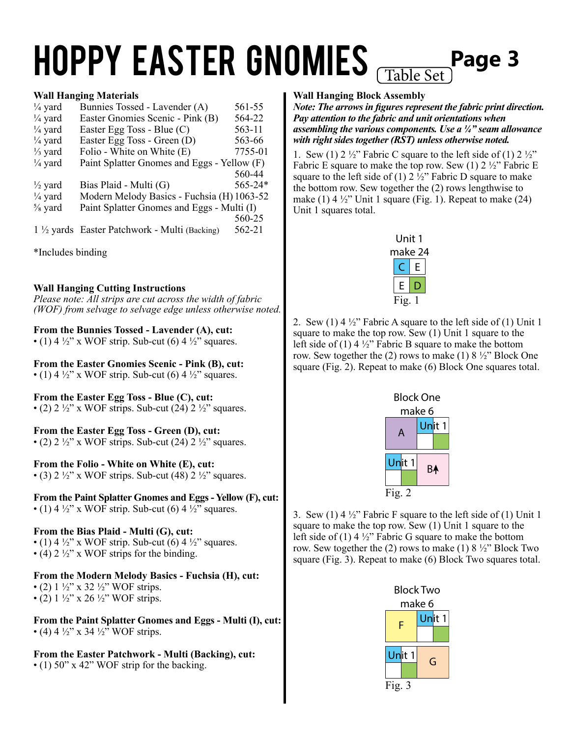### **Wall Hanging Materials**

| $\frac{1}{4}$ yard | Bunnies Tossed - Lavender (A)                  | 561-55  |  |
|--------------------|------------------------------------------------|---------|--|
| $\frac{1}{4}$ yard | Easter Gnomies Scenic - Pink (B)               | 564-22  |  |
| $\frac{1}{4}$ yard | Easter Egg Toss - Blue $(C)$                   | 563-11  |  |
| $\frac{1}{4}$ yard | Easter Egg Toss - Green (D)                    | 563-66  |  |
| $\frac{1}{3}$ yard | Folio - White on White (E)                     | 7755-01 |  |
| $\frac{1}{4}$ yard | Paint Splatter Gnomes and Eggs - Yellow (F)    |         |  |
|                    |                                                | 560-44  |  |
| $\frac{1}{2}$ yard | Bias Plaid - Multi (G)                         | 565-24* |  |
| $\frac{1}{4}$ yard | Modern Melody Basics - Fuchsia (H) 1063-52     |         |  |
| $\frac{5}{8}$ yard | Paint Splatter Gnomes and Eggs - Multi (I)     |         |  |
|                    |                                                | 560-25  |  |
|                    | 1 1/2 yards Easter Patchwork - Multi (Backing) | 562-21  |  |

\*Includes binding

### **Wall Hanging Cutting Instructions**

*Please note: All strips are cut across the width of fabric (WOF)* from selvage to selvage edge unless otherwise noted.

**From the Bunnies Tossed - Lavender (A), cut:** • (1)  $4\frac{1}{2}$ " x WOF strip. Sub-cut (6)  $4\frac{1}{2}$ " squares.

**From the Easter Gnomies Scenic - Pink (B), cut:** • (1) 4  $\frac{1}{2}$ " x WOF strip. Sub-cut (6) 4  $\frac{1}{2}$ " squares.

**From the Easter Egg Toss - Blue (C), cut:** • (2)  $2 \frac{1}{2}$ " x WOF strips. Sub-cut (24)  $2 \frac{1}{2}$ " squares.

**From the Easter Egg Toss - Green (D), cut:** • (2)  $2\frac{1}{2}$ " x WOF strips. Sub-cut (24)  $2\frac{1}{2}$ " squares.

**From the Folio - White on White (E), cut:** • (3)  $2 \frac{1}{2}$ " x WOF strips. Sub-cut (48)  $2 \frac{1}{2}$ " squares.

**From the Paint Splatter Gnomes and Eggs - Yellow (F), cut:** • (1)  $4\frac{1}{2}$ " x WOF strip. Sub-cut (6)  $4\frac{1}{2}$ " squares.

**From the Bias Plaid - Multi (G), cut:** • (1) 4  $\frac{1}{2}$ " x WOF strip. Sub-cut (6) 4  $\frac{1}{2}$ " squares. • (4)  $2\frac{1}{2}$ " x WOF strips for the binding.

**From the Modern Melody Basics - Fuchsia (H), cut:** • (2)  $1\frac{1}{2}$ " x 32  $\frac{1}{2}$ " WOF strips. • (2)  $1\frac{1}{2}$ " x 26  $\frac{1}{2}$ " WOF strips.

**From the Paint Splatter Gnomes and Eggs - Multi (I), cut:** • (4) 4  $\frac{1}{2}$ " x 34  $\frac{1}{2}$ " WOF strips.

**From the Easter Patchwork - Multi (Backing), cut:** • (1) 50" x 42" WOF strip for the backing.

### **Wall Hanging Block Assembly**

*Note: The arrows in figures represent the fabric print direction. Pay attention to the fabric and unit orientations when assembling the various components. Use a ¼" seam allowance with right sides together (RST) unless otherwise noted.*

1. Sew (1) 2  $\frac{1}{2}$  Fabric C square to the left side of (1) 2  $\frac{1}{2}$ " Fabric E square to make the top row. Sew (1)  $2 \frac{1}{2}$ " Fabric E square to the left side of (1)  $2\frac{1}{2}$ " Fabric D square to make the bottom row. Sew together the (2) rows lengthwise to make  $(1)$  4  $\frac{1}{2}$ " Unit 1 square (Fig. 1). Repeat to make  $(24)$ Unit 1 squares total.



2. Sew  $(1)$  4  $\frac{1}{2}$ " Fabric A square to the left side of  $(1)$  Unit 1 square to make the top row. Sew (1) Unit 1 square to the left side of (1) 4 ½" Fabric B square to make the bottom row. Sew together the (2) rows to make (1) 8 ½" Block One square (Fig. 2). Repeat to make (6) Block One squares total.



3. Sew (1)  $4\frac{1}{2}$ " Fabric F square to the left side of (1) Unit 1 square to make the top row. Sew (1) Unit 1 square to the left side of (1) 4 ½" Fabric G square to make the bottom row. Sew together the (2) rows to make (1) 8 ½" Block Two square (Fig. 3). Repeat to make (6) Block Two squares total.

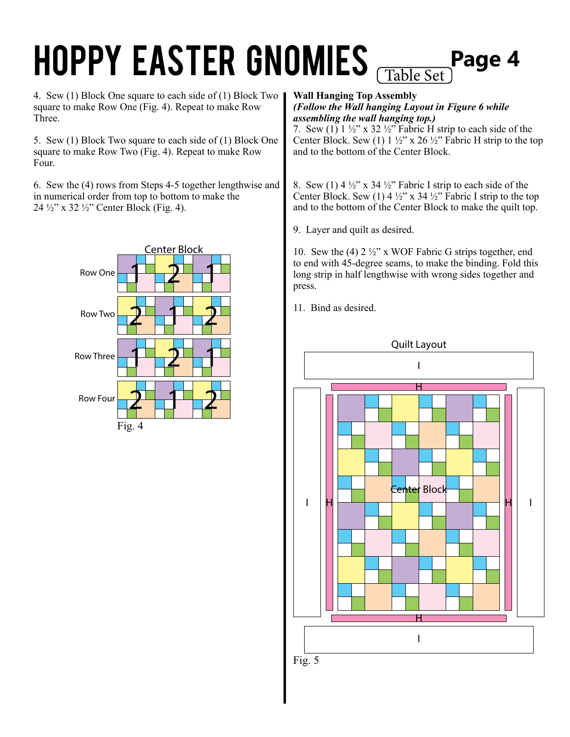4. Sew (1) Block One square to each side of (1) Block Two square to make Row One (Fig. 4). Repeat to make Row Three.

5. Sew (1) Block Two square to each side of (1) Block One square to make Row Two (Fig. 4). Repeat to make Row Four.

6. Sew the (4) rows from Steps 4-5 together lengthwise and in numerical order from top to bottom to make the 24 ½" x 32 ½" Center Block (Fig. 4).



**Wall Hanging Top Assembly**  *(Follow the Wall hanging Layout in Figure 6 while assembling the wall hanging top.)*

7. Sew  $(1)$  1 ½" x 32 ½" Fabric H strip to each side of the Center Block. Sew (1)  $1 \frac{1}{2}$  x 26  $\frac{1}{2}$  Fabric H strip to the top and to the bottom of the Center Block.

8. Sew (1) 4  $\frac{1}{2}$ " x 34  $\frac{1}{2}$ " Fabric I strip to each side of the Center Block. Sew (1) 4  $\frac{1}{2}$ " x 34  $\frac{1}{2}$ " Fabric I strip to the top and to the bottom of the Center Block to make the quilt top.

9. Layer and quilt as desired.

10. Sew the (4)  $2\frac{1}{2}$ " x WOF Fabric G strips together, end to end with 45-degree seams, to make the binding. Fold this long strip in half lengthwise with wrong sides together and press.

11. Bind as desired.

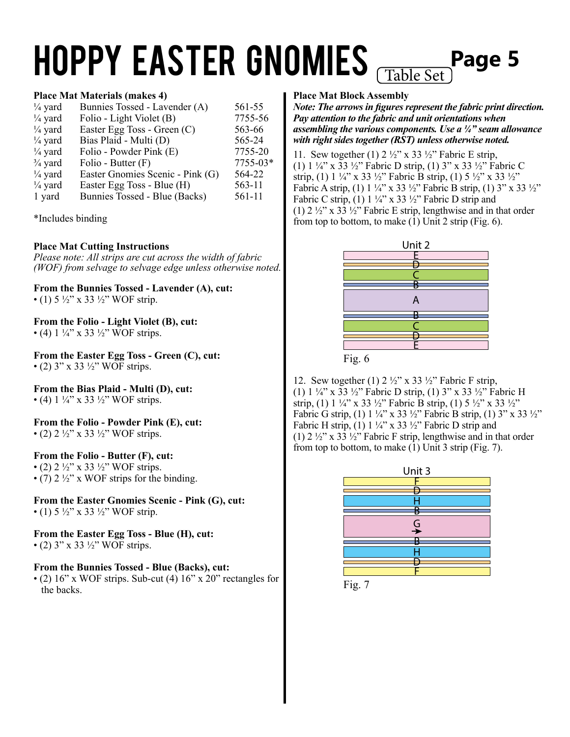### **Place Mat Materials (makes 4)**

| $\frac{1}{4}$ yard | Bunnies Tossed - Lavender (A)    | 561-55   |
|--------------------|----------------------------------|----------|
| $\frac{1}{4}$ yard | Folio - Light Violet (B)         | 7755-56  |
| $\frac{1}{4}$ yard | Easter Egg Toss - Green (C)      | 563-66   |
| $\frac{1}{4}$ yard | Bias Plaid - Multi (D)           | 565-24   |
| $\frac{1}{4}$ yard | Folio - Powder Pink (E)          | 7755-20  |
| $\frac{3}{4}$ yard | Folio - Butter $(F)$             | 7755-03* |
| $\frac{1}{4}$ yard | Easter Gnomies Scenic - Pink (G) | 564-22   |
| $\frac{1}{4}$ yard | Easter Egg Toss - Blue (H)       | 563-11   |
| 1 yard             | Bunnies Tossed - Blue (Backs)    | 561-11   |
|                    |                                  |          |

\*Includes binding

### **Place Mat Cutting Instructions**

*Please note: All strips are cut across the width of fabric (WOF) from selvage to selvage edge unless otherwise noted.*

**From the Bunnies Tossed - Lavender (A), cut:** • (1)  $5\frac{1}{2}$ " x 33  $\frac{1}{2}$ " WOF strip.

**From the Folio - Light Violet (B), cut:** • (4)  $1\frac{1}{4}$ " x 33  $\frac{1}{2}$ " WOF strips.

**From the Easter Egg Toss - Green (C), cut:** • (2)  $3''$  x 33  $\frac{1}{2}$ " WOF strips.

**From the Bias Plaid - Multi (D), cut:** • (4)  $1\frac{1}{4}$ " x 33  $\frac{1}{2}$ " WOF strips.

**From the Folio - Powder Pink (E), cut:** • (2)  $2 \frac{1}{2}$ " x 33  $\frac{1}{2}$ " WOF strips.

**From the Folio - Butter (F), cut:** • (2)  $2\frac{1}{2}$ " x 33  $\frac{1}{2}$ " WOF strips. • (7)  $2 \frac{1}{2}$ " x WOF strips for the binding.

**From the Easter Gnomies Scenic - Pink (G), cut:** • (1)  $5\frac{1}{2}$ " x 33  $\frac{1}{2}$ " WOF strip.

**From the Easter Egg Toss - Blue (H), cut:** • (2)  $3''$  x 33  $\frac{1}{2}$ " WOF strips.

#### **From the Bunnies Tossed - Blue (Backs), cut:**

• (2) 16" x WOF strips. Sub-cut (4) 16" x 20" rectangles for the backs.

#### **Place Mat Block Assembly**

*Note: The arrows in figures represent the fabric print direction. Pay attention to the fabric and unit orientations when assembling the various components. Use a ¼" seam allowance with right sides together (RST) unless otherwise noted.*

11. Sew together (1)  $2\frac{1}{2}$ " x 33  $\frac{1}{2}$ " Fabric E strip, (1) 1 ¼" x 33 ½" Fabric D strip, (1) 3" x 33 ½" Fabric C strip, (1) 1 ¼" x 33 ½" Fabric B strip, (1) 5 ½" x 33 ½" Fabric A strip, (1) 1 ¼" x 33 ½" Fabric B strip, (1) 3" x 33 ½" Fabric C strip,  $(1)$  1  $\frac{1}{4}$ " x 33  $\frac{1}{2}$ " Fabric D strip and (1)  $2 \frac{1}{2}$  x 33  $\frac{1}{2}$  Fabric E strip, lengthwise and in that order from top to bottom, to make  $(1)$  Unit 2 strip (Fig. 6).



12. Sew together (1)  $2\frac{1}{2}$ " x 33  $\frac{1}{2}$ " Fabric F strip, (1) 1 ¼" x 33 ½" Fabric D strip, (1) 3" x 33 ½" Fabric H strip, (1) 1 ¼" x 33 ½" Fabric B strip, (1) 5 ½" x 33 ½" Fabric G strip, (1) 1 ¼" x 33 ½" Fabric B strip, (1) 3" x 33 ½" Fabric H strip, (1)  $1\frac{1}{4}$ " x 33  $\frac{1}{2}$ " Fabric D strip and (1)  $2 \frac{1}{2}$  x 33  $\frac{1}{2}$  Fabric F strip, lengthwise and in that order from top to bottom, to make  $(1)$  Unit 3 strip (Fig. 7).



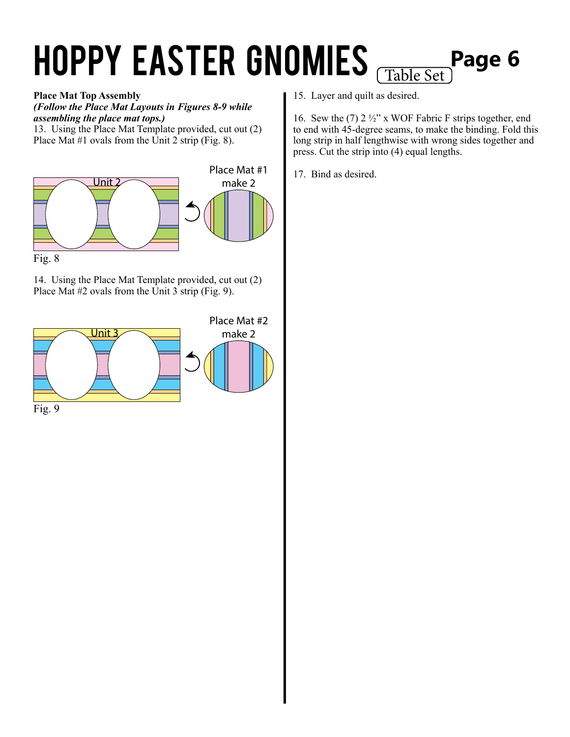### **Place Mat Top Assembly**

*(Follow the Place Mat Layouts in Figures 8-9 while assembling the place mat tops.)*

13. Using the Place Mat Template provided, cut out (2) Place Mat #1 ovals from the Unit 2 strip (Fig. 8).



14. Using the Place Mat Template provided, cut out (2) Place Mat  $#2$  ovals from the Unit  $3$  strip (Fig. 9).



15. Layer and quilt as desired.

16. Sew the  $(7)$  2 ½" x WOF Fabric F strips together, end to end with 45-degree seams, to make the binding. Fold this long strip in half lengthwise with wrong sides together and press. Cut the strip into (4) equal lengths.

17. Bind as desired.